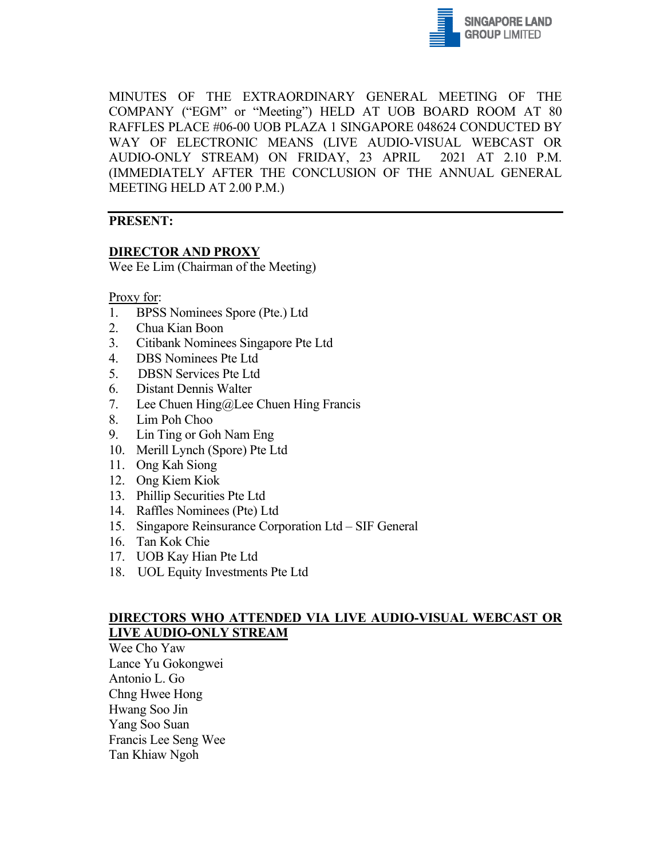

MINUTES OF THE EXTRAORDINARY GENERAL MEETING OF THE COMPANY ("EGM" or "Meeting") HELD AT UOB BOARD ROOM AT 80 RAFFLES PLACE #06-00 UOB PLAZA 1 SINGAPORE 048624 CONDUCTED BY WAY OF ELECTRONIC MEANS (LIVE AUDIO-VISUAL WEBCAST OR AUDIO-ONLY STREAM) ON FRIDAY, 23 APRIL 2021 AT 2.10 P.M. (IMMEDIATELY AFTER THE CONCLUSION OF THE ANNUAL GENERAL MEETING HELD AT 2.00 P.M.)

# **PRESENT:**

## **DIRECTOR AND PROXY**

Wee Ee Lim (Chairman of the Meeting)

#### Proxy for:

- 1. BPSS Nominees Spore (Pte.) Ltd
- 2. Chua Kian Boon
- 3. Citibank Nominees Singapore Pte Ltd
- 4. DBS Nominees Pte Ltd
- 5. DBSN Services Pte Ltd
- 6. Distant Dennis Walter
- 7. Lee Chuen Hing@Lee Chuen Hing Francis
- 8. Lim Poh Choo
- 9. Lin Ting or Goh Nam Eng
- 10. Merill Lynch (Spore) Pte Ltd
- 11. Ong Kah Siong
- 12. Ong Kiem Kiok
- 13. Phillip Securities Pte Ltd
- 14. Raffles Nominees (Pte) Ltd
- 15. Singapore Reinsurance Corporation Ltd SIF General
- 16. Tan Kok Chie
- 17. UOB Kay Hian Pte Ltd
- 18. UOL Equity Investments Pte Ltd

## **DIRECTORS WHO ATTENDED VIA LIVE AUDIO-VISUAL WEBCAST OR LIVE AUDIO-ONLY STREAM**

Wee Cho Yaw Lance Yu Gokongwei Antonio L. Go Chng Hwee Hong Hwang Soo Jin Yang Soo Suan Francis Lee Seng Wee Tan Khiaw Ngoh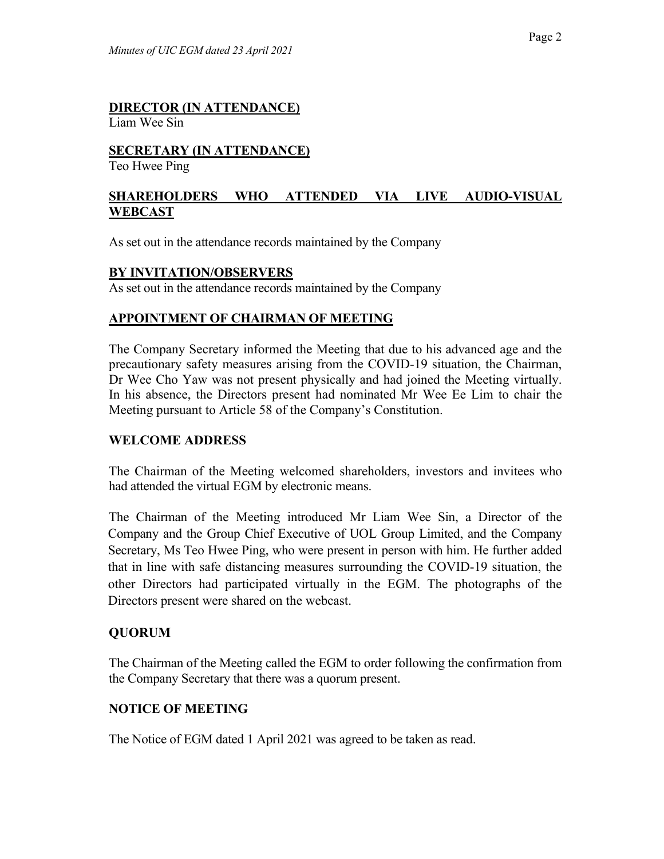# **DIRECTOR (IN ATTENDANCE)**

Liam Wee Sin

# **SECRETARY (IN ATTENDANCE)**

Teo Hwee Ping

# **SHAREHOLDERS WHO ATTENDED VIA LIVE AUDIO-VISUAL WEBCAST**

As set out in the attendance records maintained by the Company

#### **BY INVITATION/OBSERVERS**

As set out in the attendance records maintained by the Company

## **APPOINTMENT OF CHAIRMAN OF MEETING**

The Company Secretary informed the Meeting that due to his advanced age and the precautionary safety measures arising from the COVID-19 situation, the Chairman, Dr Wee Cho Yaw was not present physically and had joined the Meeting virtually. In his absence, the Directors present had nominated Mr Wee Ee Lim to chair the Meeting pursuant to Article 58 of the Company's Constitution.

#### **WELCOME ADDRESS**

The Chairman of the Meeting welcomed shareholders, investors and invitees who had attended the virtual EGM by electronic means.

The Chairman of the Meeting introduced Mr Liam Wee Sin, a Director of the Company and the Group Chief Executive of UOL Group Limited, and the Company Secretary, Ms Teo Hwee Ping, who were present in person with him. He further added that in line with safe distancing measures surrounding the COVID-19 situation, the other Directors had participated virtually in the EGM. The photographs of the Directors present were shared on the webcast.

# **QUORUM**

The Chairman of the Meeting called the EGM to order following the confirmation from the Company Secretary that there was a quorum present.

# **NOTICE OF MEETING**

The Notice of EGM dated 1 April 2021 was agreed to be taken as read.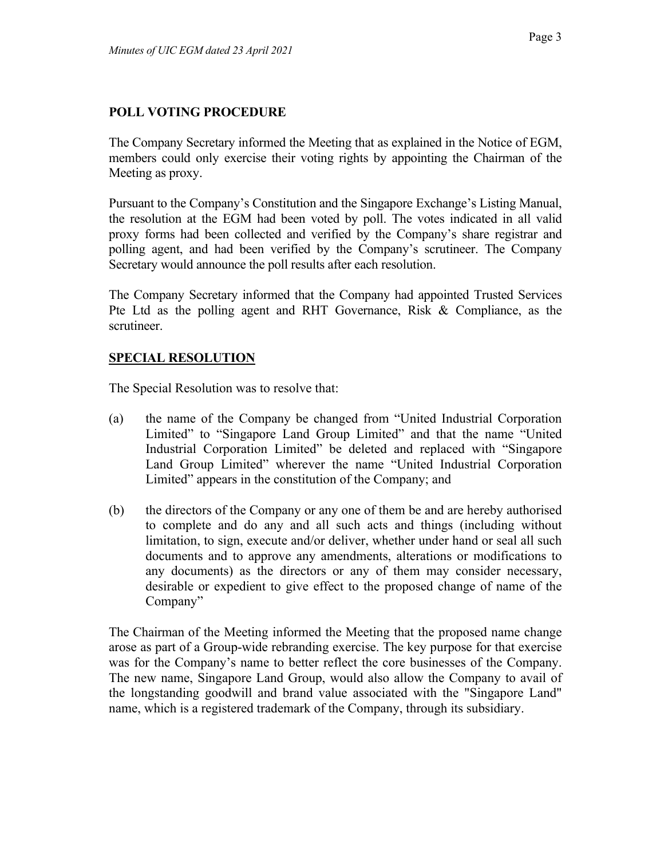#### **POLL VOTING PROCEDURE**

The Company Secretary informed the Meeting that as explained in the Notice of EGM, members could only exercise their voting rights by appointing the Chairman of the Meeting as proxy.

Pursuant to the Company's Constitution and the Singapore Exchange's Listing Manual, the resolution at the EGM had been voted by poll. The votes indicated in all valid proxy forms had been collected and verified by the Company's share registrar and polling agent, and had been verified by the Company's scrutineer. The Company Secretary would announce the poll results after each resolution.

The Company Secretary informed that the Company had appointed Trusted Services Pte Ltd as the polling agent and RHT Governance, Risk & Compliance, as the scrutineer.

## **SPECIAL RESOLUTION**

The Special Resolution was to resolve that:

- (a) the name of the Company be changed from "United Industrial Corporation Limited" to "Singapore Land Group Limited" and that the name "United" Industrial Corporation Limited" be deleted and replaced with "Singapore Land Group Limited" wherever the name "United Industrial Corporation Limited" appears in the constitution of the Company; and
- (b) the directors of the Company or any one of them be and are hereby authorised to complete and do any and all such acts and things (including without limitation, to sign, execute and/or deliver, whether under hand or seal all such documents and to approve any amendments, alterations or modifications to any documents) as the directors or any of them may consider necessary, desirable or expedient to give effect to the proposed change of name of the Company"

The Chairman of the Meeting informed the Meeting that the proposed name change arose as part of a Group-wide rebranding exercise. The key purpose for that exercise was for the Company's name to better reflect the core businesses of the Company. The new name, Singapore Land Group, would also allow the Company to avail of the longstanding goodwill and brand value associated with the "Singapore Land" name, which is a registered trademark of the Company, through its subsidiary.